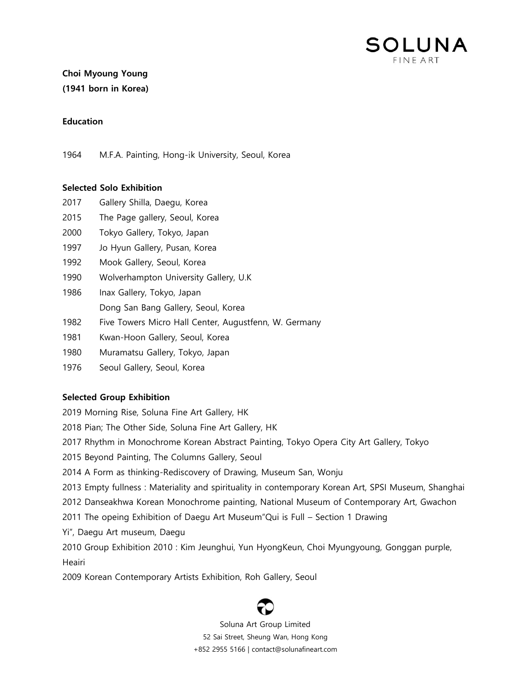

# Choi Myoung Young (1941 born in Korea)

#### **Education**

1964 M.F.A. Painting, Hong-ik University, Seoul, Korea

## Selected Solo Exhibition

- 2017 Gallery Shilla, Daegu, Korea
- 2015 The Page gallery, Seoul, Korea
- 2000 Tokyo Gallery, Tokyo, Japan
- 1997 Jo Hyun Gallery, Pusan, Korea
- 1992 Mook Gallery, Seoul, Korea
- 1990 Wolverhampton University Gallery, U.K
- 1986 Inax Gallery, Tokyo, Japan Dong San Bang Gallery, Seoul, Korea
- 1982 Five Towers Micro Hall Center, Augustfenn, W. Germany
- 1981 Kwan-Hoon Gallery, Seoul, Korea
- 1980 Muramatsu Gallery, Tokyo, Japan
- 1976 Seoul Gallery, Seoul, Korea

## Selected Group Exhibition

- 2019 Morning Rise, Soluna Fine Art Gallery, HK
- 2018 Pian; The Other Side, Soluna Fine Art Gallery, HK
- 2017 Rhythm in Monochrome Korean Abstract Painting, Tokyo Opera City Art Gallery, Tokyo
- 2015 Beyond Painting, The Columns Gallery, Seoul
- 2014 A Form as thinking-Rediscovery of Drawing, Museum San, Wonju
- 2013 Empty fullness : Materiality and spirituality in contemporary Korean Art, SPSI Museum, Shanghai
- 2012 Danseakhwa Korean Monochrome painting, National Museum of Contemporary Art, Gwachon
- 2011 The opeing Exhibition of Daegu Art Museum"Qui is Full Section 1 Drawing
- Yi", Daegu Art museum, Daegu
- 2010 Group Exhibition 2010 : Kim Jeunghui, Yun HyongKeun, Choi Myungyoung, Gonggan purple, **Heairi**
- 2009 Korean Contemporary Artists Exhibition, Roh Gallery, Seoul

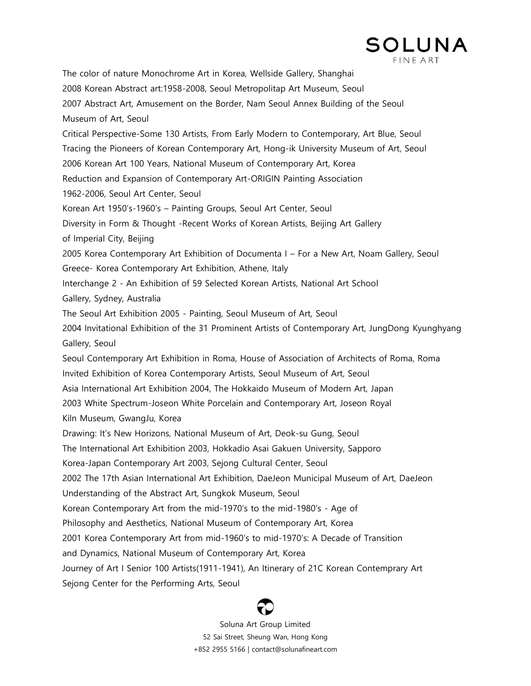

The color of nature Monochrome Art in Korea, Wellside Gallery, Shanghai 2008 Korean Abstract art:1958-2008, Seoul Metropolitap Art Museum, Seoul 2007 Abstract Art, Amusement on the Border, Nam Seoul Annex Building of the Seoul Museum of Art, Seoul Critical Perspective-Some 130 Artists, From Early Modern to Contemporary, Art Blue, Seoul Tracing the Pioneers of Korean Contemporary Art, Hong-ik University Museum of Art, Seoul 2006 Korean Art 100 Years, National Museum of Contemporary Art, Korea Reduction and Expansion of Contemporary Art-ORIGIN Painting Association 1962-2006, Seoul Art Center, Seoul Korean Art 1950"s-1960"s – Painting Groups, Seoul Art Center, Seoul Diversity in Form & Thought -Recent Works of Korean Artists, Beijing Art Gallery of Imperial City, Beijing 2005 Korea Contemporary Art Exhibition of Documenta I – For a New Art, Noam Gallery, Seoul Greece- Korea Contemporary Art Exhibition, Athene, Italy Interchange 2 - An Exhibition of 59 Selected Korean Artists, National Art School Gallery, Sydney, Australia The Seoul Art Exhibition 2005 - Painting, Seoul Museum of Art, Seoul 2004 Invitational Exhibition of the 31 Prominent Artists of Contemporary Art, JungDong Kyunghyang Gallery, Seoul Seoul Contemporary Art Exhibition in Roma, House of Association of Architects of Roma, Roma Invited Exhibition of Korea Contemporary Artists, Seoul Museum of Art, Seoul Asia International Art Exhibition 2004, The Hokkaido Museum of Modern Art, Japan 2003 White Spectrum-Joseon White Porcelain and Contemporary Art, Joseon Royal Kiln Museum, GwangJu, Korea Drawing: It's New Horizons, National Museum of Art, Deok-su Gung, Seoul The International Art Exhibition 2003, Hokkadio Asai Gakuen University, Sapporo Korea-Japan Contemporary Art 2003, Sejong Cultural Center, Seoul 2002 The 17th Asian International Art Exhibition, DaeJeon Municipal Museum of Art, DaeJeon Understanding of the Abstract Art, Sungkok Museum, Seoul Korean Contemporary Art from the mid-1970"s to the mid-1980"s - Age of Philosophy and Aesthetics, National Museum of Contemporary Art, Korea 2001 Korea Contemporary Art from mid-1960"s to mid-1970"s: A Decade of Transition and Dynamics, National Museum of Contemporary Art, Korea Journey of Art I Senior 100 Artists(1911-1941), An Itinerary of 21C Korean Contemprary Art Sejong Center for the Performing Arts, Seoul

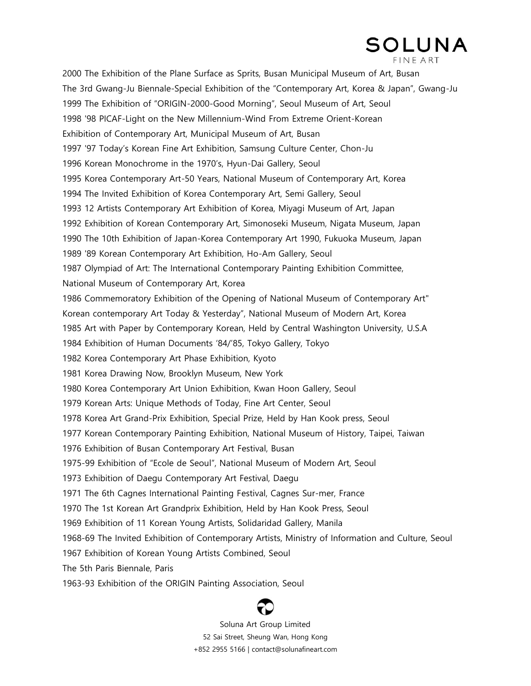# SOLUNA **FINE ART**

2000 The Exhibition of the Plane Surface as Sprits, Busan Municipal Museum of Art, Busan The 3rd Gwang-Ju Biennale-Special Exhibition of the "Contemporary Art, Korea & Japan", Gwang-Ju 1999 The Exhibition of "ORIGIN-2000-Good Morning", Seoul Museum of Art, Seoul 1998 '98 PICAF-Light on the New Millennium-Wind From Extreme Orient-Korean Exhibition of Contemporary Art, Municipal Museum of Art, Busan 1997 '97 Today"s Korean Fine Art Exhibition, Samsung Culture Center, Chon-Ju 1996 Korean Monochrome in the 1970"s, Hyun-Dai Gallery, Seoul 1995 Korea Contemporary Art-50 Years, National Museum of Contemporary Art, Korea 1994 The Invited Exhibition of Korea Contemporary Art, Semi Gallery, Seoul 1993 12 Artists Contemporary Art Exhibition of Korea, Miyagi Museum of Art, Japan 1992 Exhibition of Korean Contemporary Art, Simonoseki Museum, Nigata Museum, Japan 1990 The 10th Exhibition of Japan-Korea Contemporary Art 1990, Fukuoka Museum, Japan 1989 '89 Korean Contemporary Art Exhibition, Ho-Am Gallery, Seoul 1987 Olympiad of Art: The International Contemporary Painting Exhibition Committee, National Museum of Contemporary Art, Korea 1986 Commemoratory Exhibition of the Opening of National Museum of Contemporary Art" Korean contemporary Art Today & Yesterday", National Museum of Modern Art, Korea 1985 Art with Paper by Contemporary Korean, Held by Central Washington University, U.S.A 1984 Exhibition of Human Documents "84/"85, Tokyo Gallery, Tokyo 1982 Korea Contemporary Art Phase Exhibition, Kyoto 1981 Korea Drawing Now, Brooklyn Museum, New York 1980 Korea Contemporary Art Union Exhibition, Kwan Hoon Gallery, Seoul 1979 Korean Arts: Unique Methods of Today, Fine Art Center, Seoul 1978 Korea Art Grand-Prix Exhibition, Special Prize, Held by Han Kook press, Seoul 1977 Korean Contemporary Painting Exhibition, National Museum of History, Taipei, Taiwan 1976 Exhibition of Busan Contemporary Art Festival, Busan 1975-99 Exhibition of "Ecole de Seoul", National Museum of Modern Art, Seoul 1973 Exhibition of Daegu Contemporary Art Festival, Daegu 1971 The 6th Cagnes International Painting Festival, Cagnes Sur-mer, France 1970 The 1st Korean Art Grandprix Exhibition, Held by Han Kook Press, Seoul 1969 Exhibition of 11 Korean Young Artists, Solidaridad Gallery, Manila 1968-69 The Invited Exhibition of Contemporary Artists, Ministry of Information and Culture, Seoul 1967 Exhibition of Korean Young Artists Combined, Seoul The 5th Paris Biennale, Paris 1963-93 Exhibition of the ORIGIN Painting Association, Seoul